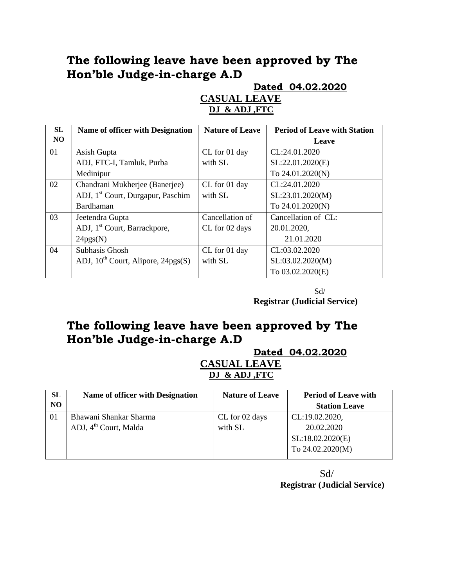## **The following leave have been approved by The Hon'ble Judge-in-charge A.D**

**Dated 04.02.2020**

#### **CASUAL LEAVE DJ & ADJ ,FTC**

| SL | <b>Name of officer with Designation</b>       | <b>Nature of Leave</b> | <b>Period of Leave with Station</b> |
|----|-----------------------------------------------|------------------------|-------------------------------------|
| NO |                                               |                        | Leave                               |
| 01 | Asish Gupta                                   | CL for 01 day          | CL:24.01.2020                       |
|    | ADJ, FTC-I, Tamluk, Purba                     | with SL                | SL:22.01.2020(E)                    |
|    | Medinipur                                     |                        | To 24.01.2020(N)                    |
| 02 | Chandrani Mukherjee (Banerjee)                | CL for 01 day          | CL:24.01.2020                       |
|    | ADJ, 1 <sup>st</sup> Court, Durgapur, Paschim | with SL                | SL:23.01.2020(M)                    |
|    | Bardhaman                                     |                        | To 24.01.2020(N)                    |
| 03 | Jeetendra Gupta                               | Cancellation of        | Cancellation of CL:                 |
|    | ADJ, 1 <sup>st</sup> Court, Barrackpore,      | CL for 02 days         | 20.01.2020,                         |
|    | 24pgs(N)                                      |                        | 21.01.2020                          |
| 04 | Subhasis Ghosh                                | CL for 01 day          | CL:03.02.2020                       |
|    | ADJ, $10^{th}$ Court, Alipore, $24pgs(S)$     | with SL                | SL:03.02.2020(M)                    |
|    |                                               |                        | To 03.02.2020(E)                    |

 Sd/ **Registrar (Judicial Service)**

# **The following leave have been approved by The Hon'ble Judge-in-charge A.D**

**Dated 04.02.2020**

#### **CASUAL LEAVE DJ & ADJ ,FTC**

| SL             | Name of officer with Designation  | <b>Nature of Leave</b> | <b>Period of Leave with</b> |
|----------------|-----------------------------------|------------------------|-----------------------------|
| N <sub>O</sub> |                                   |                        | <b>Station Leave</b>        |
| 01             | Bhawani Shankar Sharma            | CL for 02 days         | CL:19.02.2020,              |
|                | ADJ, 4 <sup>th</sup> Court, Malda | with SL                | 20.02.2020                  |
|                |                                   |                        | SL:18.02.2020(E)            |
|                |                                   |                        | To 24.02.2020(M)            |
|                |                                   |                        |                             |

 Sd/ **Registrar (Judicial Service)**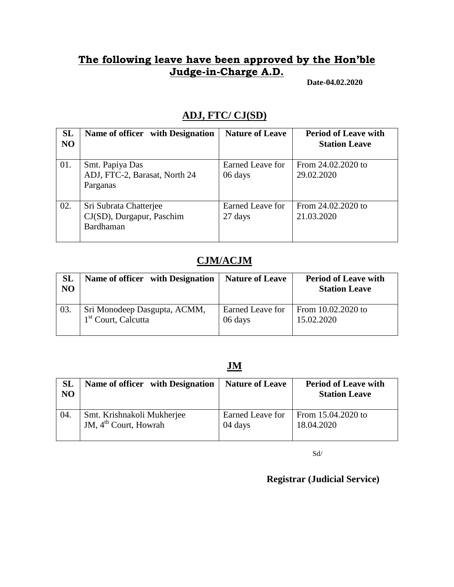### **The following leave have been approved by the Hon'ble Judge-in-Charge A.D.**

**Date-04.02.2020**

#### **ADJ, FTC/ CJ(SD)**

| <b>SL</b><br>N <sub>O</sub> | Name of officer with Designation                                 | <b>Nature of Leave</b>      | <b>Period of Leave with</b><br><b>Station Leave</b> |
|-----------------------------|------------------------------------------------------------------|-----------------------------|-----------------------------------------------------|
| 01.                         | Smt. Papiya Das<br>ADJ, FTC-2, Barasat, North 24<br>Parganas     | Earned Leave for<br>06 days | From 24.02.2020 to<br>29.02.2020                    |
| 02.                         | Sri Subrata Chatterjee<br>CJ(SD), Durgapur, Paschim<br>Bardhaman | Earned Leave for<br>27 days | From 24.02.2020 to<br>21.03.2020                    |

#### **CJM/ACJM**

| <b>SL</b><br><b>NO</b> | Name of officer with Designation | <b>Nature of Leave</b> | <b>Period of Leave with</b><br><b>Station Leave</b> |
|------------------------|----------------------------------|------------------------|-----------------------------------------------------|
| $\overline{03}$ .      | Sri Monodeep Dasgupta, ACMM,     | Earned Leave for       | From 10.02.2020 to                                  |
|                        | 1 <sup>st</sup> Court, Calcutta  | 06 days                | 15.02.2020                                          |

#### **JM**

| <b>SL</b><br>N <sub>O</sub> | Name of officer with Designation | <b>Nature of Leave</b> | <b>Period of Leave with</b><br><b>Station Leave</b> |
|-----------------------------|----------------------------------|------------------------|-----------------------------------------------------|
| 04.                         | Smt. Krishnakoli Mukherjee       | Earned Leave for       | From 15.04.2020 to                                  |
|                             | JM, $4th$ Court, Howrah          | 04 days                | 18.04.2020                                          |

Sd/

 **Registrar (Judicial Service)**